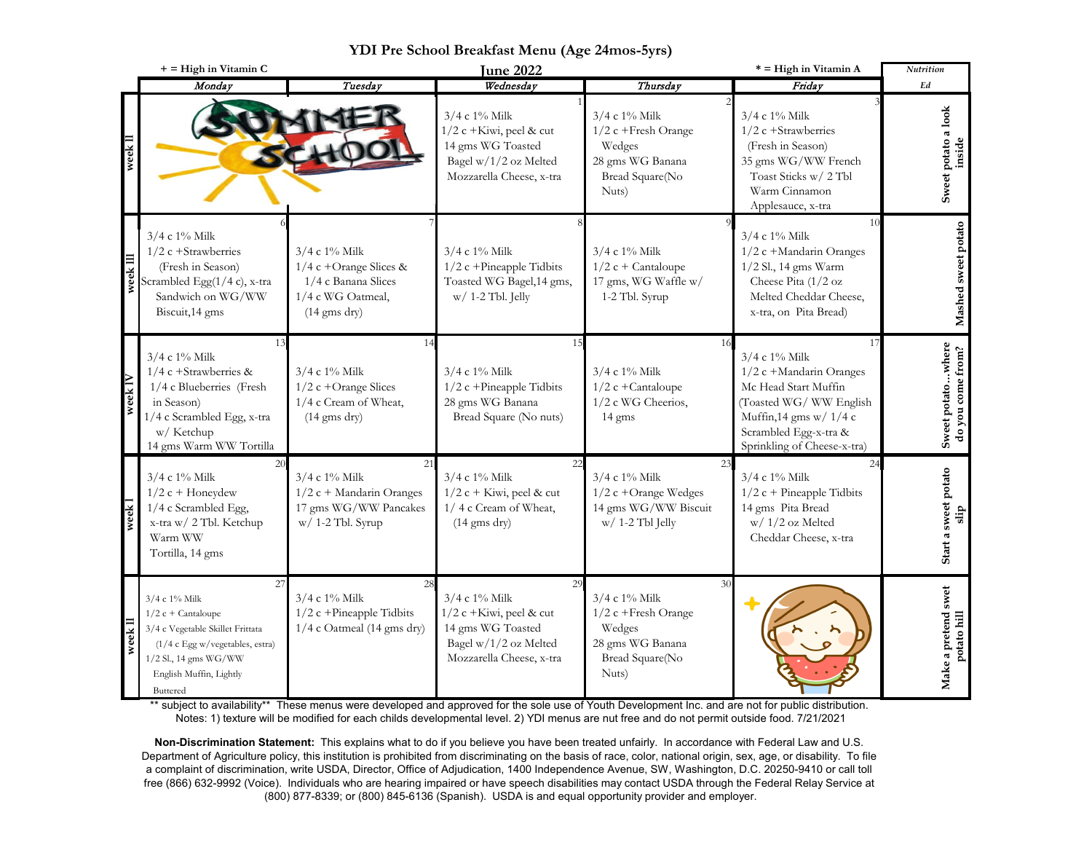|      | $+$ = High in Vitamin C                                                                                                                                                              |                                                                                                                      | <b>June 2022</b>                                                                                                                |                                                                                                           | * = High in Vitamin A                                                                                                                                                                | <b>Nutrition</b>                       |
|------|--------------------------------------------------------------------------------------------------------------------------------------------------------------------------------------|----------------------------------------------------------------------------------------------------------------------|---------------------------------------------------------------------------------------------------------------------------------|-----------------------------------------------------------------------------------------------------------|--------------------------------------------------------------------------------------------------------------------------------------------------------------------------------------|----------------------------------------|
|      | Monday                                                                                                                                                                               | Tuesday                                                                                                              | Wednesday                                                                                                                       | Thursday                                                                                                  | Friday                                                                                                                                                                               | Ed                                     |
|      |                                                                                                                                                                                      |                                                                                                                      | $3/4$ c $1\%$ Milk<br>$1/2$ c +Kiwi, peel & cut<br>14 gms WG Toasted<br>Bagel w/1/2 oz Melted<br>Mozzarella Cheese, x-tra       | $3/4$ c $1\%$ Milk<br>$1/2$ c + Fresh Orange<br>Wedges<br>28 gms WG Banana<br>Bread Square(No<br>Nuts)    | $3/4$ c $1\%$ Milk<br>$1/2$ c +Strawberries<br>(Fresh in Season)<br>35 gms WG/WW French<br>Toast Sticks w/ 2 Tbl<br>Warm Cinnamon<br>Applesauce, x-tra                               | Sweet potato a look<br>inside          |
| weel | 3/4 c 1% Milk<br>$1/2$ c +Strawberries<br>(Fresh in Season)<br>Scrambled Egg(1/4 c), x-tra<br>Sandwich on WG/WW<br>Biscuit, 14 gms                                                   | $3/4$ c $1\%$ Milk<br>$1/4$ c +Orange Slices &<br>1/4 c Banana Slices<br>1/4 c WG Oatmeal,<br>$(14 \text{ gms dry})$ | $3/4$ c $1\%$ Milk<br>$1/2$ c +Pineapple Tidbits<br>Toasted WG Bagel, 14 gms,<br>$w/1-2$ Tbl. Jelly                             | $3/4$ c $1\%$ Milk<br>$1/2$ c + Cantaloupe<br>17 gms, WG Waffle w/<br>1-2 Tbl. Syrup                      | 1 <sup>1</sup><br>3/4 c 1% Milk<br>1/2 c +Mandarin Oranges<br>1/2 Sl., 14 gms Warm<br>Cheese Pita (1/2 oz<br>Melted Cheddar Cheese,<br>x-tra, on Pita Bread)                         | Mashed sweet potato                    |
| week | 13<br>3/4 c 1% Milk<br>$1/4$ c +Strawberries &<br>1/4 c Blueberries (Fresh<br>in Season)<br>1/4 c Scrambled Egg, x-tra<br>w/ Ketchup<br>14 gms Warm WW Tortilla                      | $3/4$ c $1\%$ Milk<br>$1/2$ c +Orange Slices<br>1/4 c Cream of Wheat,<br>$(14 \text{ gms dry})$                      | 15<br>3/4 c 1% Milk<br>$1/2$ c +Pineapple Tidbits<br>28 gms WG Banana<br>Bread Square (No nuts)                                 | 3/4 c 1% Milk<br>$1/2$ c +Cantaloupe<br>1/2 c WG Cheerios,<br>14 gms                                      | 17<br>3/4 c 1% Milk<br>1/2 c +Mandarin Oranges<br>Mc Head Start Muffin<br>(Toasted WG/ WW English<br>Muffin, 14 gms w/ 1/4 c<br>Scrambled Egg-x-tra &<br>Sprinkling of Cheese-x-tra) | Sweet potatowhere<br>do you come from? |
|      | 20<br>3/4 c 1% Milk<br>$1/2$ c + Honeydew<br>1/4 c Scrambled Egg,<br>x-tra w/ 2 Tbl. Ketchup<br>Warm WW<br>Tortilla, 14 gms                                                          | 21<br>$3/4$ c $1\%$ Milk<br>$1/2$ c + Mandarin Oranges<br>17 gms WG/WW Pancakes<br>$w/1-2$ Tbl. Syrup                | 22<br>3/4 c 1% Milk<br>$1/2$ c + Kiwi, peel & cut<br>1/4 c Cream of Wheat,<br>$(14 \text{ gms dry})$                            | 23<br>3/4 c 1% Milk<br>$1/2$ c +Orange Wedges<br>14 gms WG/WW Biscuit<br>$w/$ 1-2 Tbl Jelly               | 24<br>3/4 c 1% Milk<br>$1/2$ c + Pineapple Tidbits<br>14 gms Pita Bread<br>$w/1/2$ oz Melted<br>Cheddar Cheese, x-tra                                                                | Start a sweet potato                   |
|      | 27<br>3/4 c 1% Milk<br>$1/2$ c + Cantaloupe<br>3/4 c Vegetable Skillet Frittata<br>(1/4 c Egg w/vegetables, estra)<br>$1/2$ Sl., 14 gms WG/WW<br>English Muffin, Lightly<br>Buttered | 28<br>$3/4$ c $1\%$ Milk<br>$1/2$ c +Pineapple Tidbits<br>1/4 c Oatmeal (14 gms dry)                                 | 29<br>$3/4$ c $1\%$ Milk<br>$1/2$ c +Kiwi, peel & cut<br>14 gms WG Toasted<br>Bagel w/1/2 oz Melted<br>Mozzarella Cheese, x-tra | 30<br>$3/4$ c $1\%$ Milk<br>1/2 c +Fresh Orange<br>Wedges<br>28 gms WG Banana<br>Bread Square(No<br>Nuts) |                                                                                                                                                                                      | Make a pretend swet<br>potato hill     |

## **YDI Pre School Breakfast Menu (Age 24mos-5yrs)**

\*\* subject to availability\*\* These menus were developed and approved for the sole use of Youth Development Inc. and are not for public distribution. Notes: 1) texture will be modified for each childs developmental level. 2) YDI menus are nut free and do not permit outside food. 7/21/2021

**Non-Discrimination Statement:** This explains what to do if you believe you have been treated unfairly. In accordance with Federal Law and U.S. Department of Agriculture policy, this institution is prohibited from discriminating on the basis of race, color, national origin, sex, age, or disability. To file a complaint of discrimination, write USDA, Director, Office of Adjudication, 1400 Independence Avenue, SW, Washington, D.C. 20250-9410 or call toll free (866) 632-9992 (Voice). Individuals who are hearing impaired or have speech disabilities may contact USDA through the Federal Relay Service at (800) 877-8339; or (800) 845-6136 (Spanish). USDA is and equal opportunity provider and employer.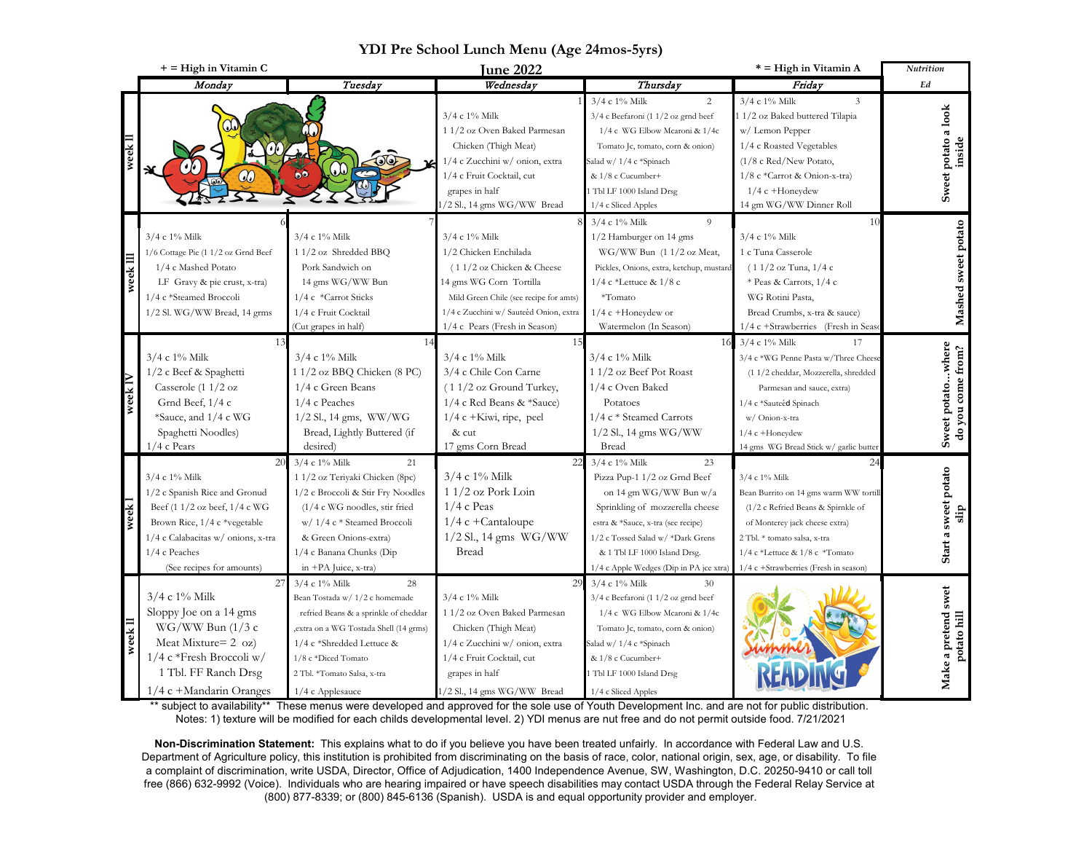|      | $+$ = High in Vitamin C                                                                                                                                                                                        |                                                                                                                                                                                                                                                      | <b>June 2022</b>                                                                                                                                                                                                            |                                                                                                                                                                                                                                                                        | * = High in Vitamin A                                                                                                                                                                                                                                  | Nutrition                              |
|------|----------------------------------------------------------------------------------------------------------------------------------------------------------------------------------------------------------------|------------------------------------------------------------------------------------------------------------------------------------------------------------------------------------------------------------------------------------------------------|-----------------------------------------------------------------------------------------------------------------------------------------------------------------------------------------------------------------------------|------------------------------------------------------------------------------------------------------------------------------------------------------------------------------------------------------------------------------------------------------------------------|--------------------------------------------------------------------------------------------------------------------------------------------------------------------------------------------------------------------------------------------------------|----------------------------------------|
|      | Monday                                                                                                                                                                                                         | Tuesday                                                                                                                                                                                                                                              | Wednesday                                                                                                                                                                                                                   | Thursday                                                                                                                                                                                                                                                               | Friday                                                                                                                                                                                                                                                 | Ed                                     |
|      | <u>J.</u>                                                                                                                                                                                                      | $\mathbb{C}$<br>60                                                                                                                                                                                                                                   | $3/4$ c $1\%$ Milk<br>1 1/2 oz Oven Baked Parmesan<br>Chicken (Thigh Meat)<br>1/4 c Zucchini w/ onion, extra<br>1/4 c Fruit Cocktail, cut<br>grapes in half<br>/2 Sl., 14 gms WG/WW Bread                                   | 3/4 c 1% Milk<br>2<br>$3/4$ c Beefaroni (1 $1/2$ oz grnd beef<br>1/4 c WG Elbow Mcaroni & 1/4c<br>Tomato Jc, tomato, corn & onion)<br>Salad w/ 1/4 c *Spinach<br>& 1/8 c Cucumber+<br>Tbl LF 1000 Island Drsg<br>1/4 c Sliced Apples                                   | $3/4$ c $1\%$ Milk<br>3<br>11/2 oz Baked buttered Tilapia<br>w/ Lemon Pepper<br>1/4 c Roasted Vegetables<br>$(1/8 \text{ c Red/New Potato})$<br>1/8 c *Carrot & Onion-x-tra)<br>$1/4$ c +Honeydew<br>14 gm WG/WW Dinner Roll                           | Sweet potato a look<br>inside          |
| yeel | $3/4$ c 1% Milk<br>1/6 Cottage Pie (1 1/2 oz Grnd Beef<br>1/4 c Mashed Potato<br>LF Gravy & pie crust, x-tra)<br>1/4 c *Steamed Broccoli<br>1/2 Sl. WG/WW Bread, 14 grms                                       | $3/4$ c $1\%$ Milk<br>1 1/2 oz Shredded BBQ<br>Pork Sandwich on<br>14 gms WG/WW Bun<br>1/4 c *Carrot Sticks<br>1/4 c Fruit Cocktail<br>(Cut grapes in half)                                                                                          | $3/4$ c $1\%$ Milk<br>1/2 Chicken Enchilada<br>$(11/2)$ oz Chicken & Cheese<br>14 gms WG Corn Tortilla<br>Mild Green Chile (see recipe for amts)<br>1/4 c Zucchini w/ Sauteéd Onion, extra<br>1/4 c Pears (Fresh in Season) | 3/4 c 1% Milk<br>9<br>1/2 Hamburger on 14 gms<br>$WG/WW$ Bun $(11/2 oz$ Meat,<br>Pickles, Onions, extra, ketchup, mustard<br>$1/4$ c *Lettuce & $1/8$ c<br>$*Tomato$<br>1/4 c +Honeydew or<br>Watermelon (In Season)                                                   | 10<br>$3/4$ c $1\%$ Milk<br>1 c Tuna Casserole<br>$(11/2)$ oz Tuna, $1/4$ c<br>* Peas & Carrots, 1/4 c<br>WG Rotini Pasta,<br>Bread Crumbs, x-tra & sauce)<br>1/4 c +Strawberries (Fresh in Seas                                                       | Mashed sweet potato                    |
| week | 3/4 c 1% Milk<br>1/2 c Beef & Spaghetti<br>Casserole $(11/2 oz)$<br>Grnd Beef, $1/4c$<br>*Sauce, and 1/4 c WG<br>Spaghetti Noodles)<br>$1/4$ c Pears                                                           | $3/4$ c $1\%$ Milk<br>1 1/2 oz BBQ Chicken (8 PC)<br>1/4 c Green Beans<br>1/4 c Peaches<br>$1/2$ Sl., 14 gms, WW/WG<br>Bread, Lightly Buttered (if<br>desired)                                                                                       | 15<br>3/4 c 1% Milk<br>3/4 c Chile Con Carne<br>$(11/2 \text{ oz }$ Ground Turkey,<br>1/4 c Red Beans & *Sauce)<br>$1/4$ c +Kiwi, ripe, peel<br>& cut<br>17 gms Corn Bread                                                  | 16<br>$3/4$ c $1\%$ Milk<br>11/2 oz Beef Pot Roast<br>1/4 c Oven Baked<br>Potatoes<br>1/4 c * Steamed Carrots<br>$1/2$ Sl., 14 gms WG/WW<br><b>Bread</b>                                                                                                               | $3/4$ c 1% Milk<br>17<br>3/4 c *WG Penne Pasta w/Three Cheese<br>(11/2 cheddar, Mozzerella, shredded<br>Parmesan and sauce, extra)<br>1/4 c *Sauteéd Spinach<br>w/ Onion-x-tra<br>$1/4$ c +Honeydew<br>14 gms WG Bread Stick w/ garlic butter          | Sweet potatowhere<br>do you come from? |
|      | 20<br>$3/4$ c $1\%$ Milk<br>1/2 c Spanish Rice and Gronud<br>Beef (1 1/2 oz beef, 1/4 c WG<br>Brown Rice, 1/4 c *vegetable<br>1/4 c Calabacitas w/ onions, x-tra<br>1/4 c Peaches<br>(See recipes for amounts) | $3/4$ c 1% Milk<br>21<br>1 1/2 oz Teriyaki Chicken (8pc)<br>1/2 c Broccoli & Stir Fry Noodles<br>$(1/4$ c WG noodles, stir fried<br>w/ 1/4 c * Steamed Broccoli<br>& Green Onions-extra)<br>1/4 c Banana Chunks (Dip<br>in +PA Juice, x-tra)         | $3/4$ c $1\%$ Milk<br>$11/2$ oz Pork Loin<br>$1/4$ c Peas<br>$1/4$ c +Cantaloupe<br>$1/2$ Sl., 14 gms WG/WW<br><b>Bread</b>                                                                                                 | 3/4 c 1% Milk<br>23<br>Pizza Pup-1 1/2 oz Grnd Beef<br>on 14 gm WG/WW Bun w/a<br>Sprinkling of mozzerella cheese<br>estra & *Sauce, x-tra (see recipe)<br>1/2 c Tossed Salad w/ *Dark Grens<br>& 1 Tbl LF 1000 Island Drsg.<br>1/4 c Apple Wedges (Dip in PA jce xtra) | 24<br>3/4 c 1% Milk<br>Bean Burrito on 14 gms warm WW tortill<br>$(1/2$ c Refried Beans & Spirnkle of<br>of Monterey jack cheese extra)<br>2 Tbl. * tomato salsa, x-tra<br>1/4 c *Lettuce & $1/8$ c *Tomato<br>$1/4$ c +Strawberries (Fresh in season) | Start a sweet potato<br>slip           |
| week | $3/4 c 1%$ Milk<br>Sloppy Joe on a 14 gms<br>$WG/WW$ Bun (1/3 c<br>Meat Mixture= $2 \text{ oz}$ )<br>$1/4$ c *Fresh Broccoli w/<br>1 Tbl. FF Ranch Drsg<br>$1/4$ c +Mandarin Oranges                           | $3/4$ c 1% Milk<br>28<br>Bean Tostada w/ 1/2 c homemade<br>refried Beans & a sprinkle of cheddar<br>, extra on a WG Tostada Shell (14 grms)<br>1/4 c *Shredded Lettuce &<br>1/8 c *Diced Tomato<br>2 Tbl. *Tomato Salsa, x-tra<br>$1/4$ c Applesauce | 29<br>$3/4$ c $1\%$ Milk<br>1 1/2 oz Oven Baked Parmesan<br>Chicken (Thigh Meat)<br>1/4 c Zucchini w/ onion, extra<br>1/4 c Fruit Cocktail, cut<br>grapes in half<br>/2 Sl., 14 gms WG/WW Bread                             | $3/4$ c $1\%$ Milk<br>30<br>$3/4$ c Beefaroni (1 $1/2$ oz grnd beef<br>1/4 c WG Elbow Mcaroni & 1/4c<br>Tomato Jc, tomato, corn & onion)<br>Salad w/ 1/4 c *Spinach<br>& 1/8 c Cucumber+<br>1 Tbl LF 1000 Island Drsg<br>1/4 c Sliced Apples                           |                                                                                                                                                                                                                                                        | Make a pretend swet<br>potato hill     |

## **YDI Pre School Lunch Menu (Age 24mos-5yrs)**

\*\* subject to availability\*\* These menus were developed and approved for the sole use of Youth Development Inc. and are not for public distribution. Notes: 1) texture will be modified for each childs developmental level. 2) YDI menus are nut free and do not permit outside food. 7/21/2021

**Non-Discrimination Statement:** This explains what to do if you believe you have been treated unfairly. In accordance with Federal Law and U.S. Department of Agriculture policy, this institution is prohibited from discriminating on the basis of race, color, national origin, sex, age, or disability. To file a complaint of discrimination, write USDA, Director, Office of Adjudication, 1400 Independence Avenue, SW, Washington, D.C. 20250-9410 or call toll free (866) 632-9992 (Voice). Individuals who are hearing impaired or have speech disabilities may contact USDA through the Federal Relay Service at (800) 877-8339; or (800) 845-6136 (Spanish). USDA is and equal opportunity provider and employer.